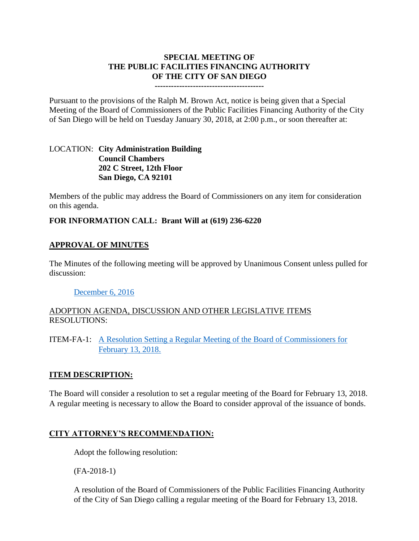# **SPECIAL MEETING OF THE PUBLIC FACILITIES FINANCING AUTHORITY OF THE CITY OF SAN DIEGO**

#### **----------------------------------------**

Pursuant to the provisions of the Ralph M. Brown Act, notice is being given that a Special Meeting of the Board of Commissioners of the Public Facilities Financing Authority of the City of San Diego will be held on Tuesday January 30, 2018, at 2:00 p.m., or soon thereafter at:

### LOCATION: **City Administration Building Council Chambers 202 C Street, 12th Floor San Diego, CA 92101**

Members of the public may address the Board of Commissioners on any item for consideration on this agenda.

### **FOR INFORMATION CALL: Brant Will at (619) 236-6220**

#### **APPROVAL OF MINUTES**

The Minutes of the following meeting will be approved by Unanimous Consent unless pulled for discussion:

#### [December 6, 2016](http://www.sandiego.gov/sites/default/files/minutes_12-06-16.pdf)

### ADOPTION AGENDA, DISCUSSION AND OTHER LEGISLATIVE ITEMS RESOLUTIONS:

ITEM-FA-1: [A Resolution Setting a Regular Meeting of the Board of Commissioners for](http://www.sandiego.gov/sites/default/files/attachments.pdf)  [February 13, 2018.](http://www.sandiego.gov/sites/default/files/attachments.pdf) 

#### **ITEM DESCRIPTION:**

The Board will consider a resolution to set a regular meeting of the Board for February 13, 2018. A regular meeting is necessary to allow the Board to consider approval of the issuance of bonds.

## **CITY ATTORNEY'S RECOMMENDATION:**

Adopt the following resolution:

(FA-2018-1)

A resolution of the Board of Commissioners of the Public Facilities Financing Authority of the City of San Diego calling a regular meeting of the Board for February 13, 2018.